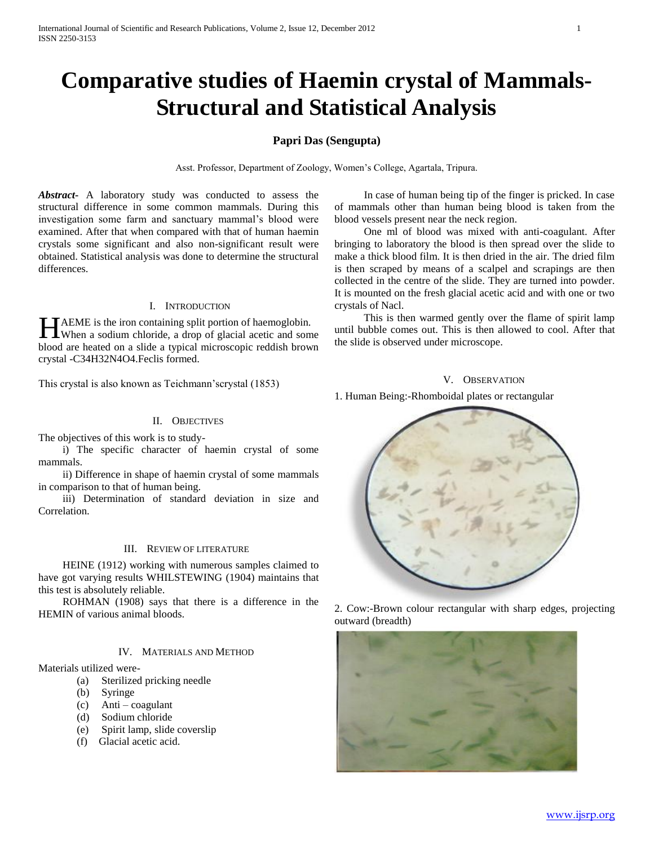# **Comparative studies of Haemin crystal of Mammals-Structural and Statistical Analysis**

#### **Papri Das (Sengupta)**

Asst. Professor, Department of Zoology, Women's College, Agartala, Tripura.

*Abstract***-** A laboratory study was conducted to assess the structural difference in some common mammals. During this investigation some farm and sanctuary mammal's blood were examined. After that when compared with that of human haemin crystals some significant and also non-significant result were obtained. Statistical analysis was done to determine the structural differences.

#### I. INTRODUCTION

TAEME is the iron containing split portion of haemoglobin. HAEME is the iron containing split portion of haemoglobin.<br>When a sodium chloride, a drop of glacial acetic and some blood are heated on a slide a typical microscopic reddish brown crystal -C34H32N4O4.Feclis formed.

This crystal is also known as Teichmann'scrystal (1853)

#### II. OBJECTIVES

The objectives of this work is to study-

 i) The specific character of haemin crystal of some mammals.

 ii) Difference in shape of haemin crystal of some mammals in comparison to that of human being.

 iii) Determination of standard deviation in size and Correlation.

#### III. REVIEW OF LITERATURE

 HEINE (1912) working with numerous samples claimed to have got varying results WHILSTEWING (1904) maintains that this test is absolutely reliable.

 ROHMAN (1908) says that there is a difference in the HEMIN of various animal bloods.

#### IV. MATERIALS AND METHOD

Materials utilized were-

- (a) Sterilized pricking needle
- (b) Syringe
- (c) Anti coagulant
- (d) Sodium chloride
- (e) Spirit lamp, slide coverslip
- (f) Glacial acetic acid.

 In case of human being tip of the finger is pricked. In case of mammals other than human being blood is taken from the blood vessels present near the neck region.

 One ml of blood was mixed with anti-coagulant. After bringing to laboratory the blood is then spread over the slide to make a thick blood film. It is then dried in the air. The dried film is then scraped by means of a scalpel and scrapings are then collected in the centre of the slide. They are turned into powder. It is mounted on the fresh glacial acetic acid and with one or two crystals of Nacl.

 This is then warmed gently over the flame of spirit lamp until bubble comes out. This is then allowed to cool. After that the slide is observed under microscope.

#### V. OBSERVATION

1. Human Being:-Rhomboidal plates or rectangular



2. Cow:-Brown colour rectangular with sharp edges, projecting outward (breadth)

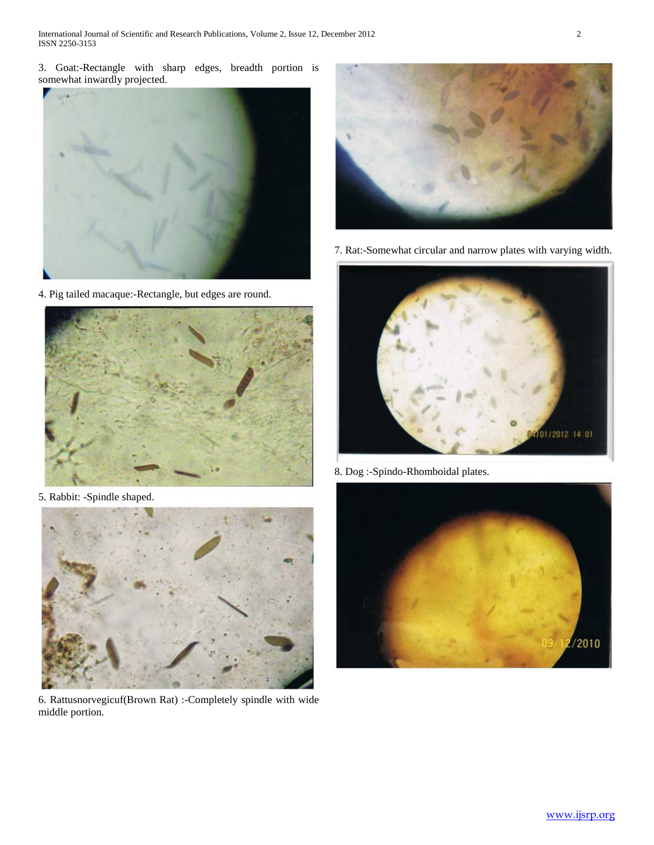3. Goat:-Rectangle with sharp edges, breadth portion is somewhat inwardly projected.



4. Pig tailed macaque:-Rectangle, but edges are round.



5. Rabbit: -Spindle shaped.



6. Rattusnorvegicuf(Brown Rat) :-Completely spindle with wide middle portion.



7. Rat:-Somewhat circular and narrow plates with varying width.



8. Dog :-Spindo-Rhomboidal plates.

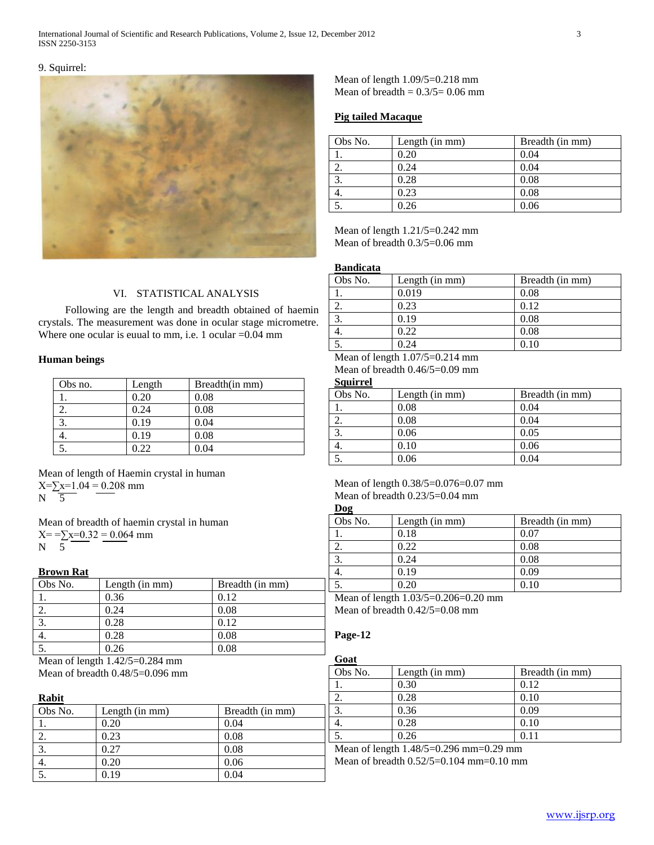#### 9. Squirrel:



### VI. STATISTICAL ANALYSIS

 Following are the length and breadth obtained of haemin crystals. The measurement was done in ocular stage micrometre. Where one ocular is euual to mm, i.e. 1 ocular =0.04 mm

#### **Human beings**

| Obs no. | Length | Breadth(in mm) |
|---------|--------|----------------|
|         | 0.20   | 0.08           |
|         | 0.24   | 0.08           |
|         | 0.19   | 0.04           |
|         | 0.19   | 0.08           |
|         | ) 22   | 0.04           |

Mean of length of Haemin crystal in human  $X=\sum x=1.04 = 0.208$  mm  $N \quad \overline{5}$ 

Mean of breadth of haemin crystal in human  $X=-\sum x=0.32 = 0.064$  mm N 5

#### **Brown Rat**

| Obs No. | Length (in mm) | Breadth (in mm) |
|---------|----------------|-----------------|
|         | 0.36           | 0.12            |
|         | 0.24           | 0.08            |
| 3.      | 0.28           | 0.12            |
| 4.      | 0.28           | 0.08            |
|         | 0.26           | 0.08            |

Mean of length 1.42/5=0.284 mm Mean of breadth 0.48/5=0.096 mm

#### **Rabit**

| Obs No. | Length (in mm) | Breadth (in mm) |
|---------|----------------|-----------------|
|         | 0.20           | 0.04            |
| ۷.      | 0.23           | 0.08            |
|         | 0.27           | 0.08            |
| ↔.      | 0.20           | 0.06            |
|         | 0.19           | 0.04            |

Mean of length 1.09/5=0.218 mm Mean of breadth  $= 0.3/5 = 0.06$  mm

#### **Pig tailed Macaque**

| Obs No. | Length (in mm) | Breadth (in mm) |
|---------|----------------|-----------------|
|         | 0.20           | 0.04            |
|         | 0.24           | 0.04            |
|         | 0.28           | 0.08            |
| ٠.      | 0.23           | 0.08            |
|         | 0.26           | 0.06            |

Mean of length 1.21/5=0.242 mm Mean of breadth 0.3/5=0.06 mm

#### **Bandicata**

| Obs No. | Length (in mm) | Breadth (in mm) |
|---------|----------------|-----------------|
|         | 0.019          | 0.08            |
|         | 0.23           | 0.12            |
|         | 0.19           | 0.08            |
| 4.      | 0.22           | 0.08            |
|         | በ 24           | 0.10            |

Mean of length 1.07/5=0.214 mm Mean of breadth 0.46/5=0.09 mm

# **Squirrel**

| Obs No. | Length (in mm) | Breadth (in mm) |
|---------|----------------|-----------------|
|         | 0.08           | 0.04            |
| ۷.      | 0.08           | 0.04            |
| 3.      | 0.06           | 0.05            |
| 4.      | 0.10           | 0.06            |
|         | 0.06           | 0.04            |

### Mean of length  $0.38/5=0.076=0.07$  mm Mean of breadth  $0.23/5=0.04$  mm

| Obs No. | Length (in mm) | Breadth (in mm) |
|---------|----------------|-----------------|
|         | 0.18           | 0.07            |
|         | 0.22           | 0.08            |
|         | 0.24           | 0.08            |
|         | 0.19           | 0.09            |
|         | 0.20           | 0.10            |

Mean of length 1.03/5=0.206=0.20 mm Mean of breadth 0.42/5=0.08 mm

## **Page-12**

#### **Goat** Obs No. [Length (in mm) Breadth (in mm) 1. 0.30 0.12 2. 0.28 0.10 3. 0.36 0.09 4. 0.28 0.10 5. 0.26 0.11

Mean of length 1.48/5=0.29 mm=0.29 mm Mean of breadth 0.52/5=0.104 mm=0.10 mm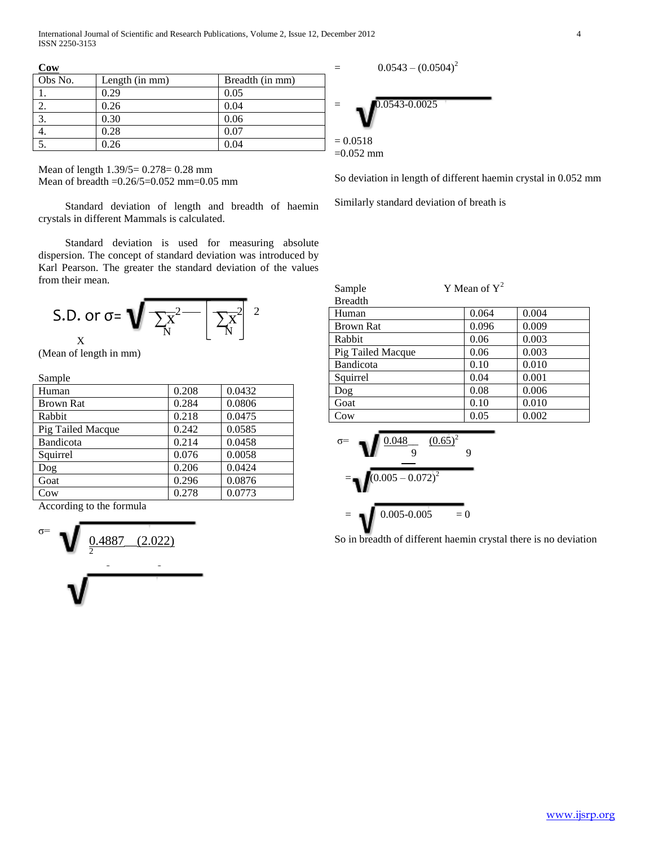International Journal of Scientific and Research Publications, Volume 2, Issue 12, December 2012 4 ISSN 2250-3153

**Cow**

| $\sim$  |                |                 |
|---------|----------------|-----------------|
| Obs No. | Length (in mm) | Breadth (in mm) |
|         | 0.29           | 0.05            |
| ۷.      | 0.26           | 0.04            |
|         | 0.30           | 0.06            |
| ┭.      | 0.28           | 0.07            |
|         | 0.26           | 0.04            |

Mean of length 1.39/5= 0.278= 0.28 mm Mean of breadth =0.26/5=0.052 mm=0.05 mm

 Standard deviation of length and breadth of haemin crystals in different Mammals is calculated.

 Standard deviation is used for measuring absolute dispersion. The concept of standard deviation was introduced by Karl Pearson. The greater the standard deviation of the values from their mean.

S.D. or 
$$
\sigma = \sqrt{\frac{\sum x^2}{N} \left[ \frac{\sum x^2}{N} \right]^2}
$$

(Mean of length in mm)

Sample

| Human             | 0.208 | 0.0432 |
|-------------------|-------|--------|
| <b>Brown Rat</b>  | 0.284 | 0.0806 |
| Rabbit            | 0.218 | 0.0475 |
| Pig Tailed Macque | 0.242 | 0.0585 |
| Bandicota         | 0.214 | 0.0458 |
| Squirrel          | 0.076 | 0.0058 |
| Dog               | 0.206 | 0.0424 |
| Goat              | 0.296 | 0.0876 |
| Cow               | 0.278 | 0.0773 |
|                   |       |        |

According to the formula



 $=$  0.0543 –  $(0.0504)^2$ 



So deviation in length of different haemin crystal in 0.052 mm

Similarly standard deviation of breath is

| Sample  | Y Mean of $Y^2$ |
|---------|-----------------|
| Breadth |                 |

| Human             | 0.064 | 0.004 |
|-------------------|-------|-------|
| <b>Brown Rat</b>  | 0.096 | 0.009 |
| Rabbit            | 0.06  | 0.003 |
| Pig Tailed Macque | 0.06  | 0.003 |
| Bandicota         | 0.10  | 0.010 |
| Squirrel          | 0.04  | 0.001 |
| Dog               | 0.08  | 0.006 |
| Goat              | 0.10  | 0.010 |
| C <sub>ow</sub>   | 0.05  | 0.002 |

$$
\sigma = \sqrt{\frac{0.048}{9} \frac{(0.65)^2}{9}}
$$
  
=  $\sqrt{(0.005 - 0.072)^2}$   
=  $\sqrt{0.005 - 0.005} = 0$ 

So in breadth of different haemin crystal there is no deviation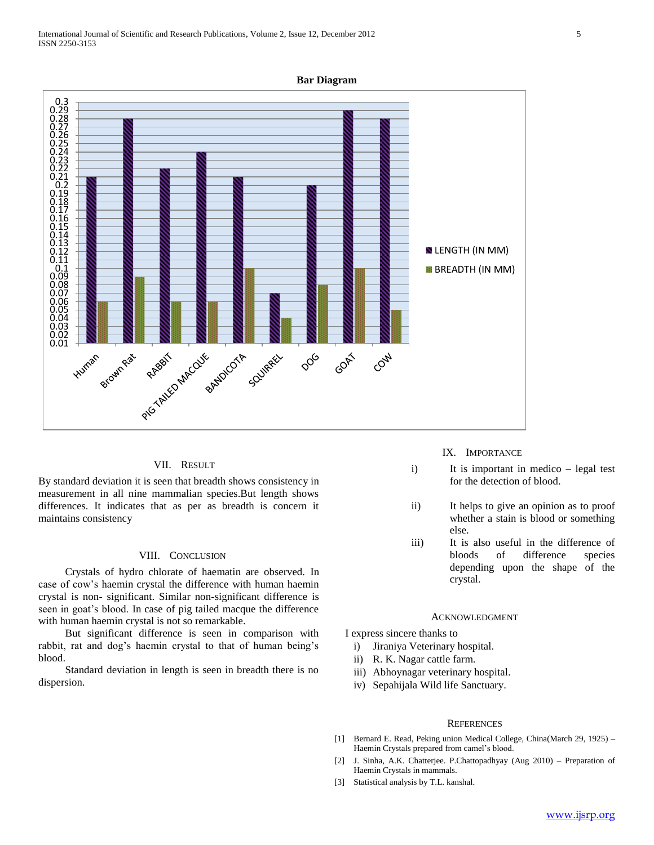



#### VII. RESULT

By standard deviation it is seen that breadth shows consistency in measurement in all nine mammalian species.But length shows differences. It indicates that as per as breadth is concern it maintains consistency

#### VIII. CONCLUSION

 Crystals of hydro chlorate of haematin are observed. In case of cow's haemin crystal the difference with human haemin crystal is non- significant. Similar non-significant difference is seen in goat's blood. In case of pig tailed macque the difference with human haemin crystal is not so remarkable.

 But significant difference is seen in comparison with rabbit, rat and dog's haemin crystal to that of human being's blood.

 Standard deviation in length is seen in breadth there is no dispersion.

#### IX. IMPORTANCE

- i) It is important in medico legal test for the detection of blood.
- ii) It helps to give an opinion as to proof whether a stain is blood or something else.
- iii) It is also useful in the difference of bloods of difference species depending upon the shape of the crystal.

#### ACKNOWLEDGMENT

I express sincere thanks to

- i) Jiraniya Veterinary hospital.
- ii) R. K. Nagar cattle farm.
- iii) Abhoynagar veterinary hospital.
- iv) Sepahijala Wild life Sanctuary.

#### **REFERENCES**

- [1] Bernard E. Read, Peking union Medical College, China(March 29, 1925) Haemin Crystals prepared from camel's blood.
- [2] J. Sinha, A.K. Chatterjee. P.Chattopadhyay (Aug 2010) Preparation of Haemin Crystals in mammals.
- [3] Statistical analysis by T.L. kanshal.